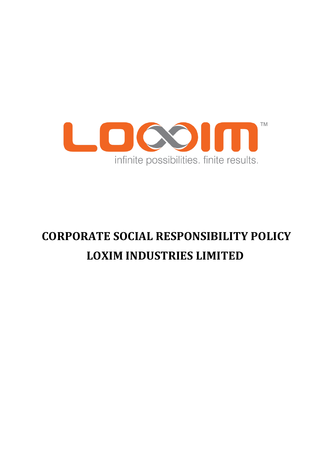

# **CORPORATE SOCIAL RESPONSIBILITY POLICY LOXIM INDUSTRIES LIMITED**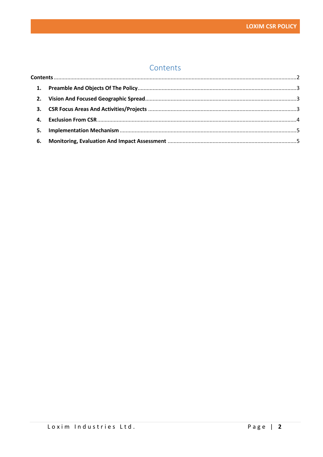# Contents

<span id="page-1-0"></span>

| 4. |  |  |
|----|--|--|
|    |  |  |
|    |  |  |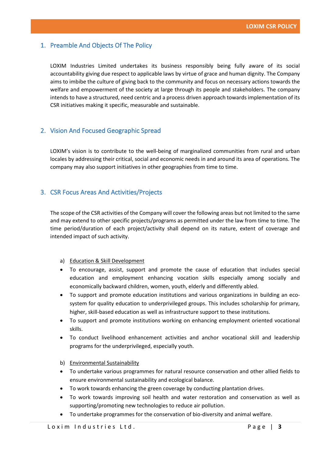## <span id="page-2-0"></span>1. Preamble And Objects Of The Policy

LOXIM Industries Limited undertakes its business responsibly being fully aware of its social accountability giving due respect to applicable laws by virtue of grace and human dignity. The Company aims to imbibe the culture of giving back to the community and focus on necessary actions towards the welfare and empowerment of the society at large through its people and stakeholders. The company intends to have a structured, need centric and a process driven approach towards implementation of its CSR initiatives making it specific, measurable and sustainable.

# <span id="page-2-1"></span>2. Vision And Focused Geographic Spread

LOXIM's vision is to contribute to the well-being of marginalized communities from rural and urban locales by addressing their critical, social and economic needs in and around its area of operations. The company may also support initiatives in other geographies from time to time.

### <span id="page-2-2"></span>3. CSR Focus Areas And Activities/Projects

The scope of the CSR activities of the Company will cover the following areas but not limited to the same and may extend to other specific projects/programs as permitted under the law from time to time. The time period/duration of each project/activity shall depend on its nature, extent of coverage and intended impact of such activity.

#### a) Education & Skill Development

- To encourage, assist, support and promote the cause of education that includes special education and employment enhancing vocation skills especially among socially and economically backward children, women, youth, elderly and differently abled.
- To support and promote education institutions and various organizations in building an ecosystem for quality education to underprivileged groups. This includes scholarship for primary, higher, skill-based education as well as infrastructure support to these institutions.
- To support and promote institutions working on enhancing employment oriented vocational skills.
- To conduct livelihood enhancement activities and anchor vocational skill and leadership programs for the underprivileged, especially youth.

#### b) Environmental Sustainability

- To undertake various programmes for natural resource conservation and other allied fields to ensure environmental sustainability and ecological balance.
- To work towards enhancing the green coverage by conducting plantation drives.
- To work towards improving soil health and water restoration and conservation as well as supporting/promoting new technologies to reduce air pollution.
- To undertake programmes for the conservation of bio-diversity and animal welfare.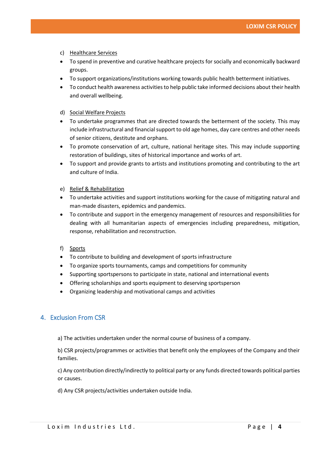- c) Healthcare Services
- To spend in preventive and curative healthcare projects for socially and economically backward groups.
- To support organizations/institutions working towards public health betterment initiatives.
- To conduct health awareness activities to help public take informed decisions about their health and overall wellbeing.
- d) Social Welfare Projects
- To undertake programmes that are directed towards the betterment of the society. This may include infrastructural and financial support to old age homes, day care centres and other needs of senior citizens, destitute and orphans.
- To promote conservation of art, culture, national heritage sites. This may include supporting restoration of buildings, sites of historical importance and works of art.
- To support and provide grants to artists and institutions promoting and contributing to the art and culture of India.
- e) Relief & Rehabilitation
- To undertake activities and support institutions working for the cause of mitigating natural and man-made disasters, epidemics and pandemics.
- To contribute and support in the emergency management of resources and responsibilities for dealing with all humanitarian aspects of emergencies including preparedness, mitigation, response, rehabilitation and reconstruction.
- f) Sports
- To contribute to building and development of sports infrastructure
- To organize sports tournaments, camps and competitions for community
- Supporting sportspersons to participate in state, national and international events
- Offering scholarships and sports equipment to deserving sportsperson
- Organizing leadership and motivational camps and activities

# <span id="page-3-0"></span>4. Exclusion From CSR

a) The activities undertaken under the normal course of business of a company.

b) CSR projects/programmes or activities that benefit only the employees of the Company and their families.

c) Any contribution directly/indirectly to political party or any funds directed towards political parties or causes.

d) Any CSR projects/activities undertaken outside India.